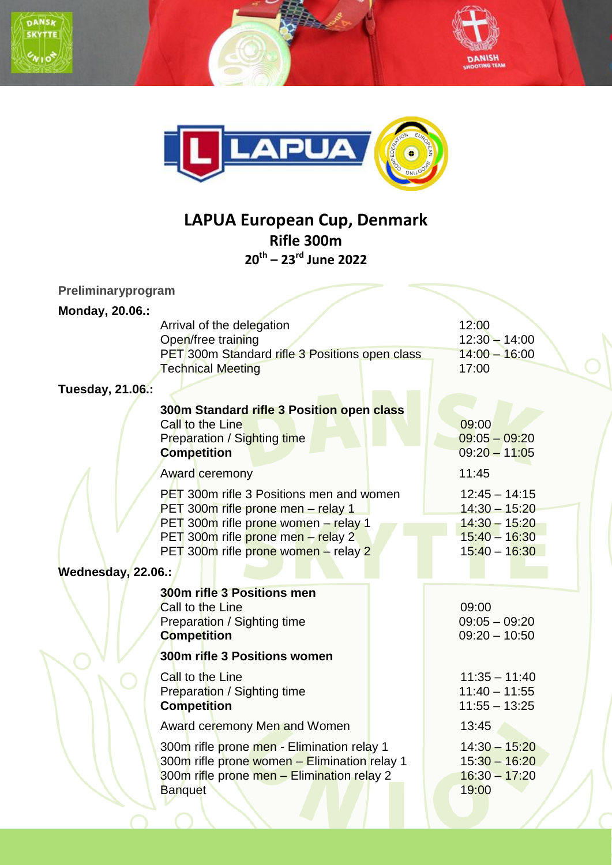





## **LAPUA European Cup, Denmark Rifle 300m 20th – 23rd June 2022**

| Preliminaryprogram |                                                                                                                                                                                                             |                                                                                             |  |
|--------------------|-------------------------------------------------------------------------------------------------------------------------------------------------------------------------------------------------------------|---------------------------------------------------------------------------------------------|--|
| Monday, 20.06.:    |                                                                                                                                                                                                             |                                                                                             |  |
|                    | Arrival of the delegation<br>Open/free training<br>PET 300m Standard rifle 3 Positions open class<br><b>Technical Meeting</b>                                                                               | 12:00<br>$12:30 - 14:00$<br>$14:00 - 16:00$<br>17:00                                        |  |
| Tuesday, 21.06.:   |                                                                                                                                                                                                             |                                                                                             |  |
|                    | 300m Standard rifle 3 Position open class<br>Call to the Line<br>Preparation / Sighting time<br><b>Competition</b>                                                                                          | 09:00<br>$09:05 - 09:20$<br>$09:20 - 11:05$                                                 |  |
|                    | Award ceremony                                                                                                                                                                                              | 11:45                                                                                       |  |
|                    | <b>PET 300m rifle 3 Positions men and women</b><br>PET 300m rifle prone men - relay 1<br>PET 300m rifle prone women - relay 1<br>PET 300m rifle prone men - relay 2<br>PET 300m rifle prone women - relay 2 | $12:45 - 14:15$<br>$14:30 - 15:20$<br>$14:30 - 15:20$<br>$15:40 - 16:30$<br>$15:40 - 16:30$ |  |
| Wednesday, 22.06.: |                                                                                                                                                                                                             |                                                                                             |  |
|                    | 300m rifle 3 Positions men<br>Call to the Line<br>Preparation / Sighting time<br><b>Competition</b>                                                                                                         | 09:00<br>$09:05 - 09:20$<br>$09:20 - 10:50$                                                 |  |
|                    | 300m rifle 3 Positions women                                                                                                                                                                                |                                                                                             |  |
|                    | Call to the Line<br>Preparation / Sighting time<br><b>Competition</b>                                                                                                                                       | $11:35 - 11:40$<br>$11:40 - 11:55$<br>$11:55 - 13:25$                                       |  |
|                    | Award ceremony Men and Women                                                                                                                                                                                | 13:45                                                                                       |  |
|                    | 300m rifle prone men - Elimination relay 1<br>300m rifle prone women - Elimination relay 1<br>300m rifle prone men - Elimination relay 2<br><b>Banquet</b>                                                  | $14:30 - 15:20$<br>$15:30 - 16:20$<br>$16:30 - 17:20$<br>19:00                              |  |